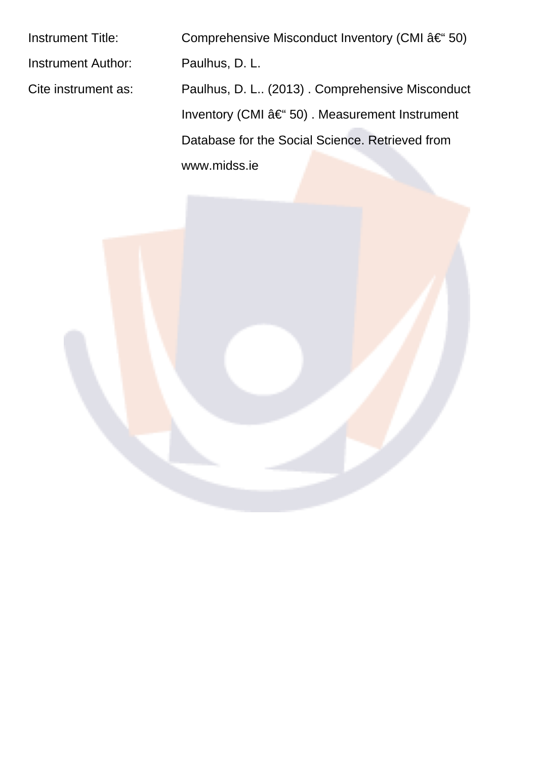Instrument Title: Comprehensive Misconduct Inventory (CMI  $â€$  50) Instrument Author: Paulhus, D. L. Cite instrument as: Paulhus, D. L.. (2013) . Comprehensive Misconduct Inventory (CMI – 50). Measurement Instrument Database for the Social Science. Retrieved from www.midss.ie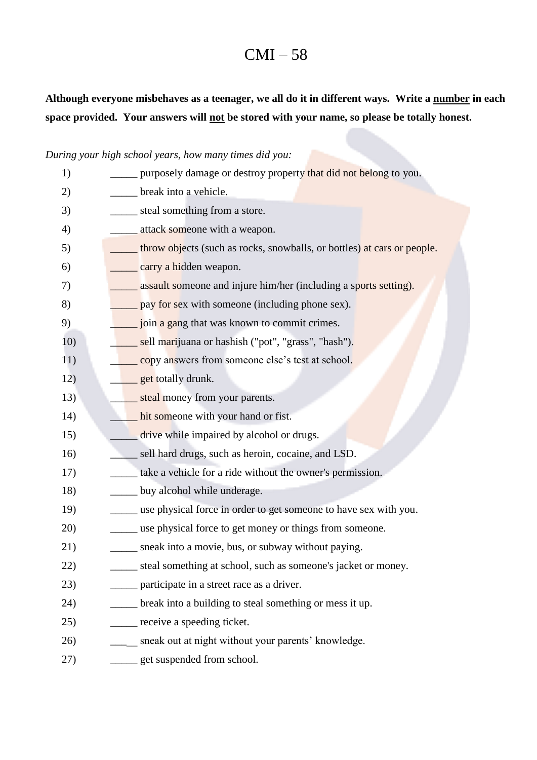# $CMI - 58$

## Although everyone misbehaves as a teenager, we all do it in different ways. Write a number in each space provided. Your answers will not be stored with your name, so please be totally honest.

### During your high school years, how many times did you:

| 1)  | purposely damage or destroy property that did not belong to you.         |
|-----|--------------------------------------------------------------------------|
| 2)  | __ break into a vehicle.                                                 |
| 3)  | steal something from a store.                                            |
| 4)  | attack someone with a weapon.                                            |
| 5)  | _throw objects (such as rocks, snowballs, or bottles) at cars or people. |
| 6)  | carry a hidden weapon.                                                   |
| 7)  | assault someone and injure him/her (including a sports setting).         |
| 8)  | pay for sex with someone (including phone sex).                          |
| 9)  | join a gang that was known to commit crimes.                             |
| 10) | sell marijuana or hashish ("pot", "grass", "hash").                      |
| 11) | copy answers from someone else's test at school.                         |
| 12) | get totally drunk.                                                       |
| 13) | steal money from your parents.                                           |
| 14) | hit someone with your hand or fist.                                      |
| 15) | drive while impaired by alcohol or drugs.                                |
| 16) | sell hard drugs, such as heroin, cocaine, and LSD.                       |
| 17) | take a vehicle for a ride without the owner's permission.                |
| 18) | buy alcohol while underage.                                              |
| 19) | use physical force in order to get someone to have sex with you.         |
| 20) | use physical force to get money or things from someone.                  |
| 21) | sneak into a movie, bus, or subway without paying.                       |
| 22) | steal something at school, such as someone's jacket or money.            |
| 23) | participate in a street race as a driver.                                |
| 24) | ____ break into a building to steal something or mess it up.             |
| 25) | _____ receive a speeding ticket.                                         |
| 26) | ____ sneak out at night without your parents' knowledge.                 |
| 27) | _____ get suspended from school.                                         |
|     |                                                                          |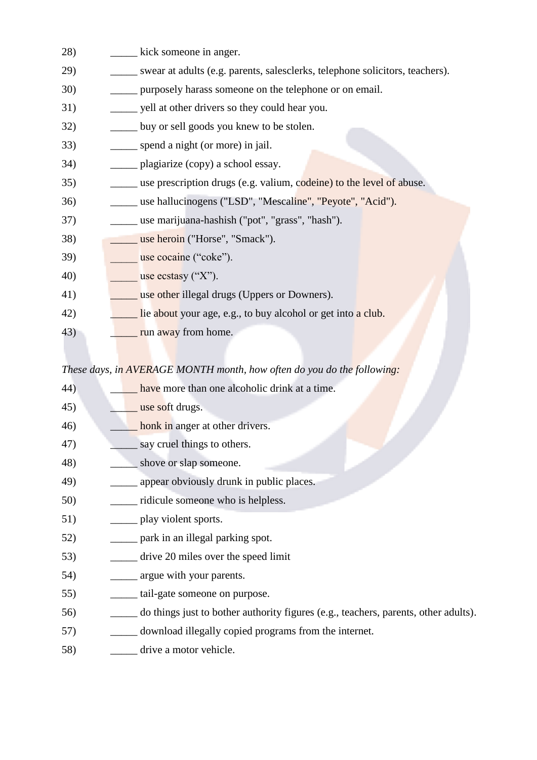| 28)         | kick someone in anger.                                                            |
|-------------|-----------------------------------------------------------------------------------|
| 29)         | swear at adults (e.g. parents, salesclerks, telephone solicitors, teachers).      |
| <b>30</b> ) | purposely harass someone on the telephone or on email.                            |
| 31)         | yell at other drivers so they could hear you.                                     |
| 32)         | <u>Let</u> buy or sell goods you knew to be stolen.                               |
| 33)         | _____ spend a night (or more) in jail.                                            |
| 34)         | _______ plagiarize (copy) a school essay.                                         |
| 35)         | <u>__</u> __ use prescription drugs (e.g. valium, codeine) to the level of abuse. |
| 36)         | use hallucinogens ("LSD", "Mescaline", "Peyote", "Acid").                         |
| 37)         | _____ use marijuana-hashish ("pot", "grass", "hash").                             |
| 38)         | use heroin ("Horse", "Smack").                                                    |
| 39)         | use cocaine ("coke").                                                             |
| 40)         | use ecstasy $({}^{\circ}X^{\cdot})$ .                                             |
| 41)         | use other illegal drugs (Uppers or Downers).                                      |
| 42)         | lie about your age, e.g., to buy alcohol or get into a club.                      |
| 43)         | run away from home.                                                               |
|             |                                                                                   |

### These days, in AVERAGE MONTH month, how often do you do the following:

| 44) | have more than one alcoholic drink at a time.                                       |
|-----|-------------------------------------------------------------------------------------|
| 45) | use soft drugs.                                                                     |
| 46) | honk in anger at other drivers.                                                     |
| 47) | say cruel things to others.                                                         |
| 48) | shove or slap someone.                                                              |
| 49) | appear obviously drunk in public places.                                            |
| 50) | ridicule someone who is helpless.                                                   |
| 51) | play violent sports.                                                                |
| 52) | park in an illegal parking spot.                                                    |
| 53) | drive 20 miles over the speed limit                                                 |
| 54) | argue with your parents.                                                            |
| 55) | tail-gate someone on purpose.                                                       |
| 56) | do things just to bother authority figures (e.g., teachers, parents, other adults). |
| 57) | download illegally copied programs from the internet.                               |
| 58) | drive a motor vehicle.                                                              |